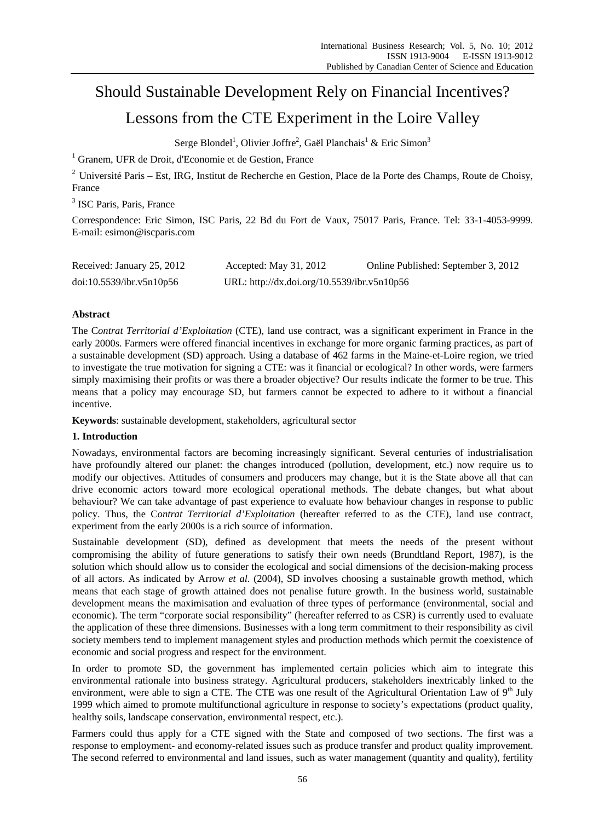# Should Sustainable Development Rely on Financial Incentives? Lessons from the CTE Experiment in the Loire Valley

Serge Blondel<sup>1</sup>, Olivier Joffre<sup>2</sup>, Gaël Planchais<sup>1</sup> & Eric Simon<sup>3</sup>

<sup>1</sup> Granem, UFR de Droit, d'Economie et de Gestion, France

<sup>2</sup> Université Paris – Est, IRG, Institut de Recherche en Gestion, Place de la Porte des Champs, Route de Choisy, France

3 ISC Paris, Paris, France

Correspondence: Eric Simon, ISC Paris, 22 Bd du Fort de Vaux, 75017 Paris, France. Tel: 33-1-4053-9999. E-mail: esimon@iscparis.com

| Received: January 25, 2012 | Accepted: May $31, 2012$                    | Online Published: September 3, 2012 |
|----------------------------|---------------------------------------------|-------------------------------------|
| doi:10.5539/ibr.v5n10p56   | URL: http://dx.doi.org/10.5539/ibr.v5n10p56 |                                     |

# **Abstract**

The C*ontrat Territorial d'Exploitation* (CTE), land use contract, was a significant experiment in France in the early 2000s. Farmers were offered financial incentives in exchange for more organic farming practices, as part of a sustainable development (SD) approach. Using a database of 462 farms in the Maine-et-Loire region, we tried to investigate the true motivation for signing a CTE: was it financial or ecological? In other words, were farmers simply maximising their profits or was there a broader objective? Our results indicate the former to be true. This means that a policy may encourage SD, but farmers cannot be expected to adhere to it without a financial incentive.

**Keywords**: sustainable development, stakeholders, agricultural sector

# **1. Introduction**

Nowadays, environmental factors are becoming increasingly significant. Several centuries of industrialisation have profoundly altered our planet: the changes introduced (pollution, development, etc.) now require us to modify our objectives. Attitudes of consumers and producers may change, but it is the State above all that can drive economic actors toward more ecological operational methods. The debate changes, but what about behaviour? We can take advantage of past experience to evaluate how behaviour changes in response to public policy. Thus, the C*ontrat Territorial d'Exploitation* (hereafter referred to as the CTE), land use contract, experiment from the early 2000s is a rich source of information.

Sustainable development (SD), defined as development that meets the needs of the present without compromising the ability of future generations to satisfy their own needs (Brundtland Report, 1987), is the solution which should allow us to consider the ecological and social dimensions of the decision-making process of all actors. As indicated by Arrow *et al.* (2004), SD involves choosing a sustainable growth method, which means that each stage of growth attained does not penalise future growth. In the business world, sustainable development means the maximisation and evaluation of three types of performance (environmental, social and economic). The term "corporate social responsibility" (hereafter referred to as CSR) is currently used to evaluate the application of these three dimensions. Businesses with a long term commitment to their responsibility as civil society members tend to implement management styles and production methods which permit the coexistence of economic and social progress and respect for the environment.

In order to promote SD, the government has implemented certain policies which aim to integrate this environmental rationale into business strategy. Agricultural producers, stakeholders inextricably linked to the environment, were able to sign a CTE. The CTE was one result of the Agricultural Orientation Law of  $9<sup>th</sup>$  July 1999 which aimed to promote multifunctional agriculture in response to society's expectations (product quality, healthy soils, landscape conservation, environmental respect, etc.).

Farmers could thus apply for a CTE signed with the State and composed of two sections. The first was a response to employment- and economy-related issues such as produce transfer and product quality improvement. The second referred to environmental and land issues, such as water management (quantity and quality), fertility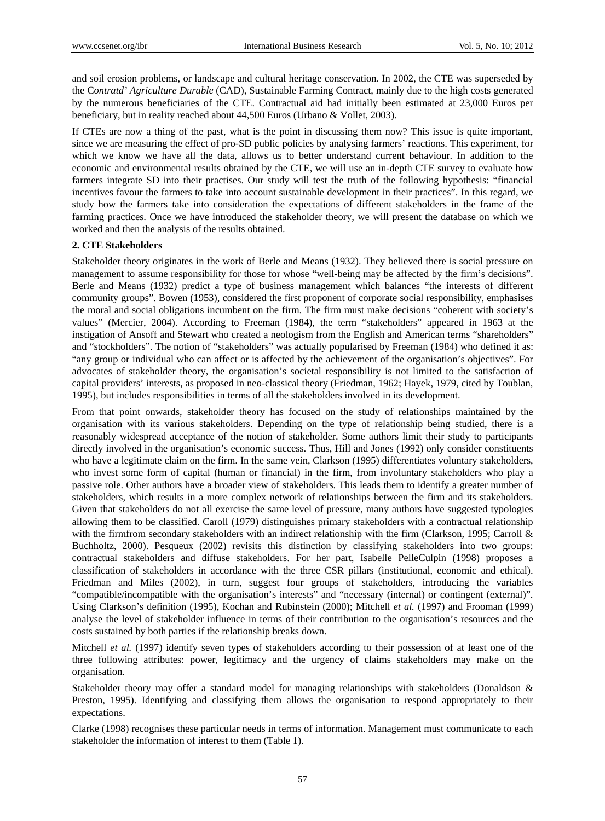and soil erosion problems, or landscape and cultural heritage conservation. In 2002, the CTE was superseded by the C*ontratd' Agriculture Durable* (CAD), Sustainable Farming Contract, mainly due to the high costs generated by the numerous beneficiaries of the CTE. Contractual aid had initially been estimated at 23,000 Euros per beneficiary, but in reality reached about 44,500 Euros (Urbano & Vollet, 2003).

If CTEs are now a thing of the past, what is the point in discussing them now? This issue is quite important, since we are measuring the effect of pro-SD public policies by analysing farmers' reactions. This experiment, for which we know we have all the data, allows us to better understand current behaviour. In addition to the economic and environmental results obtained by the CTE, we will use an in-depth CTE survey to evaluate how farmers integrate SD into their practises. Our study will test the truth of the following hypothesis: "financial incentives favour the farmers to take into account sustainable development in their practices". In this regard, we study how the farmers take into consideration the expectations of different stakeholders in the frame of the farming practices. Once we have introduced the stakeholder theory, we will present the database on which we worked and then the analysis of the results obtained.

#### **2. CTE Stakeholders**

Stakeholder theory originates in the work of Berle and Means (1932). They believed there is social pressure on management to assume responsibility for those for whose "well-being may be affected by the firm's decisions". Berle and Means (1932) predict a type of business management which balances "the interests of different community groups". Bowen (1953), considered the first proponent of corporate social responsibility, emphasises the moral and social obligations incumbent on the firm. The firm must make decisions "coherent with society's values" (Mercier, 2004). According to Freeman (1984), the term "stakeholders" appeared in 1963 at the instigation of Ansoff and Stewart who created a neologism from the English and American terms "shareholders" and "stockholders". The notion of "stakeholders" was actually popularised by Freeman (1984) who defined it as: "any group or individual who can affect or is affected by the achievement of the organisation's objectives". For advocates of stakeholder theory, the organisation's societal responsibility is not limited to the satisfaction of capital providers' interests, as proposed in neo-classical theory (Friedman, 1962; Hayek, 1979, cited by Toublan, 1995), but includes responsibilities in terms of all the stakeholders involved in its development.

From that point onwards, stakeholder theory has focused on the study of relationships maintained by the organisation with its various stakeholders. Depending on the type of relationship being studied, there is a reasonably widespread acceptance of the notion of stakeholder. Some authors limit their study to participants directly involved in the organisation's economic success. Thus, Hill and Jones (1992) only consider constituents who have a legitimate claim on the firm. In the same vein, Clarkson (1995) differentiates voluntary stakeholders, who invest some form of capital (human or financial) in the firm, from involuntary stakeholders who play a passive role. Other authors have a broader view of stakeholders. This leads them to identify a greater number of stakeholders, which results in a more complex network of relationships between the firm and its stakeholders. Given that stakeholders do not all exercise the same level of pressure, many authors have suggested typologies allowing them to be classified. Caroll (1979) distinguishes primary stakeholders with a contractual relationship with the firmfrom secondary stakeholders with an indirect relationship with the firm (Clarkson, 1995; Carroll & Buchholtz, 2000). Pesqueux (2002) revisits this distinction by classifying stakeholders into two groups: contractual stakeholders and diffuse stakeholders. For her part, Isabelle PelleCulpin (1998) proposes a classification of stakeholders in accordance with the three CSR pillars (institutional, economic and ethical). Friedman and Miles (2002), in turn, suggest four groups of stakeholders, introducing the variables "compatible/incompatible with the organisation's interests" and "necessary (internal) or contingent (external)". Using Clarkson's definition (1995), Kochan and Rubinstein (2000); Mitchell *et al.* (1997) and Frooman (1999) analyse the level of stakeholder influence in terms of their contribution to the organisation's resources and the costs sustained by both parties if the relationship breaks down.

Mitchell *et al.* (1997) identify seven types of stakeholders according to their possession of at least one of the three following attributes: power, legitimacy and the urgency of claims stakeholders may make on the organisation.

Stakeholder theory may offer a standard model for managing relationships with stakeholders (Donaldson & Preston, 1995). Identifying and classifying them allows the organisation to respond appropriately to their expectations.

Clarke (1998) recognises these particular needs in terms of information. Management must communicate to each stakeholder the information of interest to them (Table 1).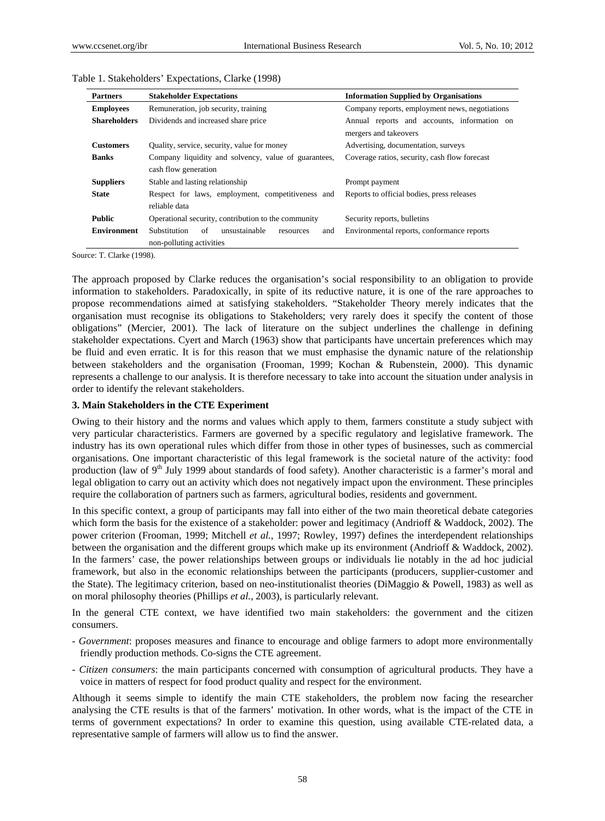| <b>Partners</b>     | <b>Stakeholder Expectations</b>                         | <b>Information Supplied by Organisations</b>   |
|---------------------|---------------------------------------------------------|------------------------------------------------|
| <b>Employees</b>    | Remuneration, job security, training                    | Company reports, employment news, negotiations |
| <b>Shareholders</b> | Dividends and increased share price                     | Annual reports and accounts, information on    |
|                     |                                                         | mergers and takeovers                          |
| <b>Customers</b>    | Quality, service, security, value for money             | Advertising, documentation, surveys            |
| <b>Banks</b>        | Company liquidity and solvency, value of guarantees,    | Coverage ratios, security, cash flow forecast  |
|                     | cash flow generation                                    |                                                |
| <b>Suppliers</b>    | Stable and lasting relationship                         | Prompt payment                                 |
| <b>State</b>        | Respect for laws, employment, competitiveness and       | Reports to official bodies, press releases     |
|                     | reliable data                                           |                                                |
| <b>Public</b>       | Operational security, contribution to the community     | Security reports, bulletins                    |
| <b>Environment</b>  | Substitution<br>of<br>unsustainable<br>and<br>resources | Environmental reports, conformance reports     |
|                     | non-polluting activities                                |                                                |

#### Table 1. Stakeholders' Expectations, Clarke (1998)

Source: T. Clarke (1998).

The approach proposed by Clarke reduces the organisation's social responsibility to an obligation to provide information to stakeholders. Paradoxically, in spite of its reductive nature, it is one of the rare approaches to propose recommendations aimed at satisfying stakeholders. "Stakeholder Theory merely indicates that the organisation must recognise its obligations to Stakeholders; very rarely does it specify the content of those obligations" (Mercier, 2001). The lack of literature on the subject underlines the challenge in defining stakeholder expectations. Cyert and March (1963) show that participants have uncertain preferences which may be fluid and even erratic. It is for this reason that we must emphasise the dynamic nature of the relationship between stakeholders and the organisation (Frooman, 1999; Kochan & Rubenstein, 2000). This dynamic represents a challenge to our analysis. It is therefore necessary to take into account the situation under analysis in order to identify the relevant stakeholders.

#### **3. Main Stakeholders in the CTE Experiment**

Owing to their history and the norms and values which apply to them, farmers constitute a study subject with very particular characteristics. Farmers are governed by a specific regulatory and legislative framework. The industry has its own operational rules which differ from those in other types of businesses, such as commercial organisations. One important characteristic of this legal framework is the societal nature of the activity: food production (law of 9<sup>th</sup> July 1999 about standards of food safety). Another characteristic is a farmer's moral and legal obligation to carry out an activity which does not negatively impact upon the environment. These principles require the collaboration of partners such as farmers, agricultural bodies, residents and government.

In this specific context, a group of participants may fall into either of the two main theoretical debate categories which form the basis for the existence of a stakeholder: power and legitimacy (Andrioff & Waddock, 2002). The power criterion (Frooman, 1999; Mitchell *et al.*, 1997; Rowley, 1997) defines the interdependent relationships between the organisation and the different groups which make up its environment (Andrioff & Waddock, 2002). In the farmers' case, the power relationships between groups or individuals lie notably in the ad hoc judicial framework, but also in the economic relationships between the participants (producers, supplier-customer and the State). The legitimacy criterion, based on neo-institutionalist theories (DiMaggio & Powell, 1983) as well as on moral philosophy theories (Phillips *et al.*, 2003), is particularly relevant.

In the general CTE context, we have identified two main stakeholders: the government and the citizen consumers.

- *Government*: proposes measures and finance to encourage and oblige farmers to adopt more environmentally friendly production methods. Co-signs the CTE agreement.
- *Citizen consumers*: the main participants concerned with consumption of agricultural products. They have a voice in matters of respect for food product quality and respect for the environment.

Although it seems simple to identify the main CTE stakeholders, the problem now facing the researcher analysing the CTE results is that of the farmers' motivation. In other words, what is the impact of the CTE in terms of government expectations? In order to examine this question, using available CTE-related data, a representative sample of farmers will allow us to find the answer.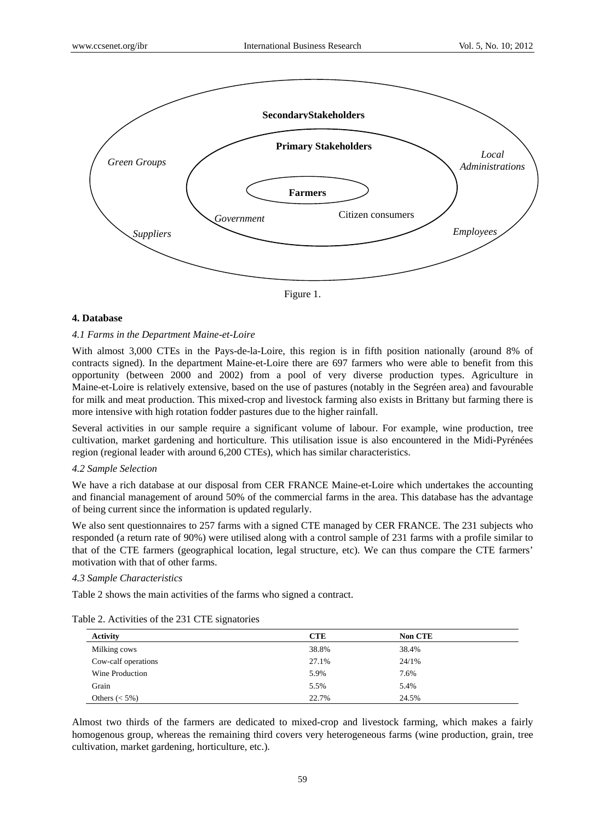

Figure 1.

# **4. Database**

## *4.1 Farms in the Department Maine-et-Loire*

With almost 3,000 CTEs in the Pays-de-la-Loire, this region is in fifth position nationally (around 8% of contracts signed). In the department Maine-et-Loire there are 697 farmers who were able to benefit from this opportunity (between 2000 and 2002) from a pool of very diverse production types. Agriculture in Maine-et-Loire is relatively extensive, based on the use of pastures (notably in the Segréen area) and favourable for milk and meat production. This mixed-crop and livestock farming also exists in Brittany but farming there is more intensive with high rotation fodder pastures due to the higher rainfall.

Several activities in our sample require a significant volume of labour. For example, wine production, tree cultivation, market gardening and horticulture. This utilisation issue is also encountered in the Midi-Pyrénées region (regional leader with around 6,200 CTEs), which has similar characteristics.

#### *4.2 Sample Selection*

We have a rich database at our disposal from CER FRANCE Maine-et-Loire which undertakes the accounting and financial management of around 50% of the commercial farms in the area. This database has the advantage of being current since the information is updated regularly.

We also sent questionnaires to 257 farms with a signed CTE managed by CER FRANCE. The 231 subjects who responded (a return rate of 90%) were utilised along with a control sample of 231 farms with a profile similar to that of the CTE farmers (geographical location, legal structure, etc). We can thus compare the CTE farmers' motivation with that of other farms.

#### *4.3 Sample Characteristics*

Table 2 shows the main activities of the farms who signed a contract.

| <b>Activity</b>     | <b>CTE</b> | <b>Non CTE</b> |  |
|---------------------|------------|----------------|--|
| Milking cows        | 38.8%      | 38.4%          |  |
| Cow-calf operations | 27.1%      | 24/1%          |  |
| Wine Production     | 5.9%       | 7.6%           |  |
| Grain               | 5.5%       | 5.4%           |  |
| Others $(< 5\%)$    | 22.7%      | 24.5%          |  |

Table 2. Activities of the 231 CTE signatories

Almost two thirds of the farmers are dedicated to mixed-crop and livestock farming, which makes a fairly homogenous group, whereas the remaining third covers very heterogeneous farms (wine production, grain, tree cultivation, market gardening, horticulture, etc.).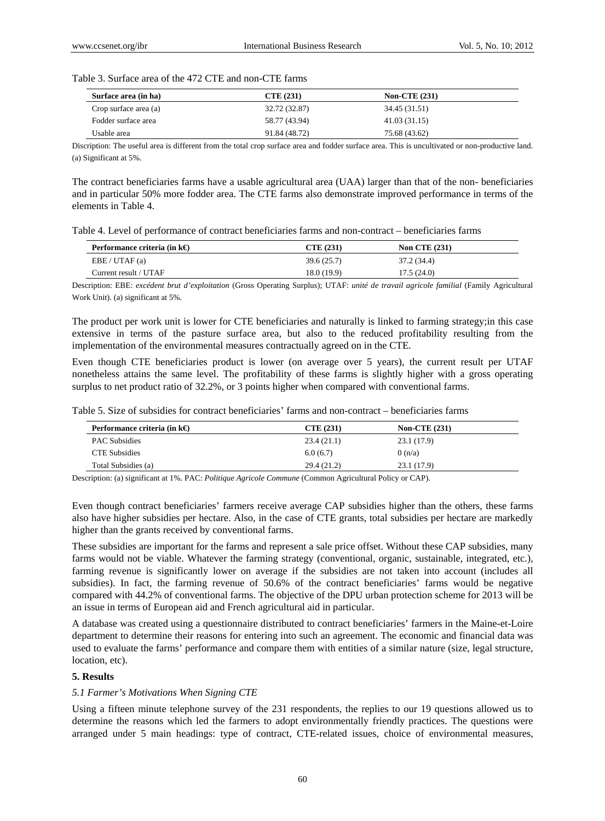|  |  |  |  | Table 3. Surface area of the 472 CTE and non-CTE farms |
|--|--|--|--|--------------------------------------------------------|
|--|--|--|--|--------------------------------------------------------|

| Surface area (in ha)  | CTE(231)      | <b>Non-CTE (231)</b> |  |
|-----------------------|---------------|----------------------|--|
| Crop surface area (a) | 32.72 (32.87) | 34.45 (31.51)        |  |
| Fodder surface area   | 58.77 (43.94) | 41.03(31.15)         |  |
| Usable area           | 91.84 (48.72) | 75.68 (43.62)        |  |

Discription: The useful area is different from the total crop surface area and fodder surface area. This is uncultivated or non-productive land. (a) Significant at 5%.

The contract beneficiaries farms have a usable agricultural area (UAA) larger than that of the non- beneficiaries and in particular 50% more fodder area. The CTE farms also demonstrate improved performance in terms of the elements in Table 4.

Table 4. Level of performance of contract beneficiaries farms and non-contract – beneficiaries farms

| Performance criteria (in $k\Theta$ | <b>CTE (231)</b> | <b>Non CTE (231)</b> |  |
|------------------------------------|------------------|----------------------|--|
| EBE / UTAF(a)                      | 39.6(25.7)       | 37.2 (34.4)          |  |
| Current result / UTAF              | 18.0 (19.9)      | 17.5(24.0)           |  |

Description: EBE: *excédent brut d'exploitation* (Gross Operating Surplus); UTAF: *unité de travail agricole familial* (Family Agricultural Work Unit). (a) significant at 5%.

The product per work unit is lower for CTE beneficiaries and naturally is linked to farming strategy;in this case extensive in terms of the pasture surface area, but also to the reduced profitability resulting from the implementation of the environmental measures contractually agreed on in the CTE.

Even though CTE beneficiaries product is lower (on average over 5 years), the current result per UTAF nonetheless attains the same level. The profitability of these farms is slightly higher with a gross operating surplus to net product ratio of 32.2%, or 3 points higher when compared with conventional farms.

Table 5. Size of subsidies for contract beneficiaries' farms and non-contract – beneficiaries farms

| Performance criteria (in $k\Theta$ ) | CTE(231)    | <b>Non-CTE (231)</b> |  |
|--------------------------------------|-------------|----------------------|--|
| <b>PAC Subsidies</b>                 | 23.4(21.1)  | 23.1 (17.9)          |  |
| <b>CTE</b> Subsidies                 | 6.0(6.7)    | 0(n/a)               |  |
| Total Subsidies (a)                  | 29.4 (21.2) | 23.1(17.9)           |  |

Description: (a) significant at 1%. PAC: *Politique Agricole Commune* (Common Agricultural Policy or CAP).

Even though contract beneficiaries' farmers receive average CAP subsidies higher than the others, these farms also have higher subsidies per hectare. Also, in the case of CTE grants, total subsidies per hectare are markedly higher than the grants received by conventional farms.

These subsidies are important for the farms and represent a sale price offset. Without these CAP subsidies, many farms would not be viable. Whatever the farming strategy (conventional, organic, sustainable, integrated, etc.), farming revenue is significantly lower on average if the subsidies are not taken into account (includes all subsidies). In fact, the farming revenue of 50.6% of the contract beneficiaries' farms would be negative compared with 44.2% of conventional farms. The objective of the DPU urban protection scheme for 2013 will be an issue in terms of European aid and French agricultural aid in particular.

A database was created using a questionnaire distributed to contract beneficiaries' farmers in the Maine-et-Loire department to determine their reasons for entering into such an agreement. The economic and financial data was used to evaluate the farms' performance and compare them with entities of a similar nature (size, legal structure, location, etc).

#### **5. Results**

#### *5.1 Farmer's Motivations When Signing CTE*

Using a fifteen minute telephone survey of the 231 respondents, the replies to our 19 questions allowed us to determine the reasons which led the farmers to adopt environmentally friendly practices. The questions were arranged under 5 main headings: type of contract, CTE-related issues, choice of environmental measures,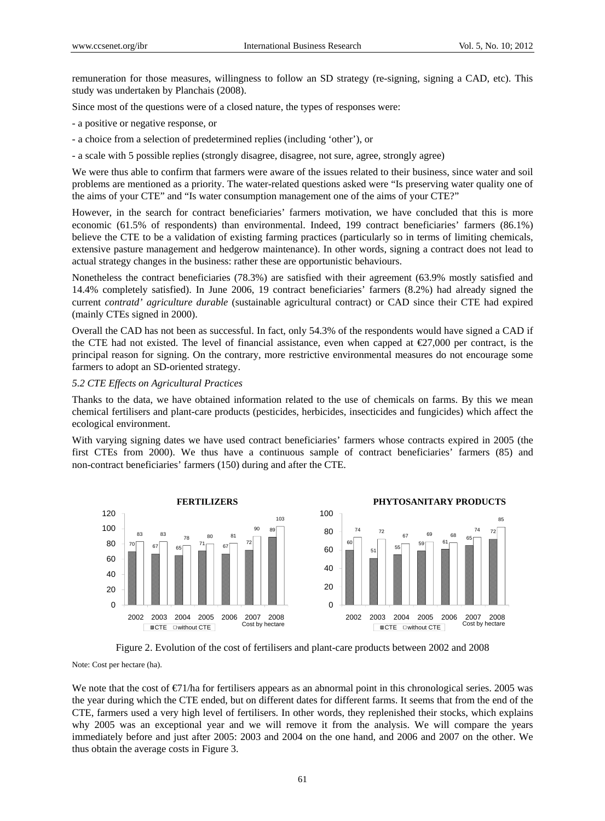remuneration for those measures, willingness to follow an SD strategy (re-signing, signing a CAD, etc). This study was undertaken by Planchais (2008).

Since most of the questions were of a closed nature, the types of responses were:

- a positive or negative response, or

- a choice from a selection of predetermined replies (including 'other'), or

- a scale with 5 possible replies (strongly disagree, disagree, not sure, agree, strongly agree)

We were thus able to confirm that farmers were aware of the issues related to their business, since water and soil problems are mentioned as a priority. The water-related questions asked were "Is preserving water quality one of the aims of your CTE" and "Is water consumption management one of the aims of your CTE?"

However, in the search for contract beneficiaries' farmers motivation, we have concluded that this is more economic (61.5% of respondents) than environmental. Indeed, 199 contract beneficiaries' farmers (86.1%) believe the CTE to be a validation of existing farming practices (particularly so in terms of limiting chemicals, extensive pasture management and hedgerow maintenance). In other words, signing a contract does not lead to actual strategy changes in the business: rather these are opportunistic behaviours.

Nonetheless the contract beneficiaries (78.3%) are satisfied with their agreement (63.9% mostly satisfied and 14.4% completely satisfied). In June 2006, 19 contract beneficiaries' farmers (8.2%) had already signed the current *contratd' agriculture durable* (sustainable agricultural contract) or CAD since their CTE had expired (mainly CTEs signed in 2000).

Overall the CAD has not been as successful. In fact, only 54.3% of the respondents would have signed a CAD if the CTE had not existed. The level of financial assistance, even when capped at  $\epsilon$ 27,000 per contract, is the principal reason for signing. On the contrary, more restrictive environmental measures do not encourage some farmers to adopt an SD-oriented strategy.

## *5.2 CTE Effects on Agricultural Practices*

Thanks to the data, we have obtained information related to the use of chemicals on farms. By this we mean chemical fertilisers and plant-care products (pesticides, herbicides, insecticides and fungicides) which affect the ecological environment.

With varying signing dates we have used contract beneficiaries' farmers whose contracts expired in 2005 (the first CTEs from 2000). We thus have a continuous sample of contract beneficiaries' farmers (85) and non-contract beneficiaries' farmers (150) during and after the CTE.



Figure 2. Evolution of the cost of fertilisers and plant-care products between 2002 and 2008

Note: Cost per hectare (ha).

We note that the cost of  $\epsilon/71/h$  for fertilisers appears as an abnormal point in this chronological series. 2005 was the year during which the CTE ended, but on different dates for different farms. It seems that from the end of the CTE, farmers used a very high level of fertilisers. In other words, they replenished their stocks, which explains why 2005 was an exceptional year and we will remove it from the analysis. We will compare the years immediately before and just after 2005: 2003 and 2004 on the one hand, and 2006 and 2007 on the other. We thus obtain the average costs in Figure 3.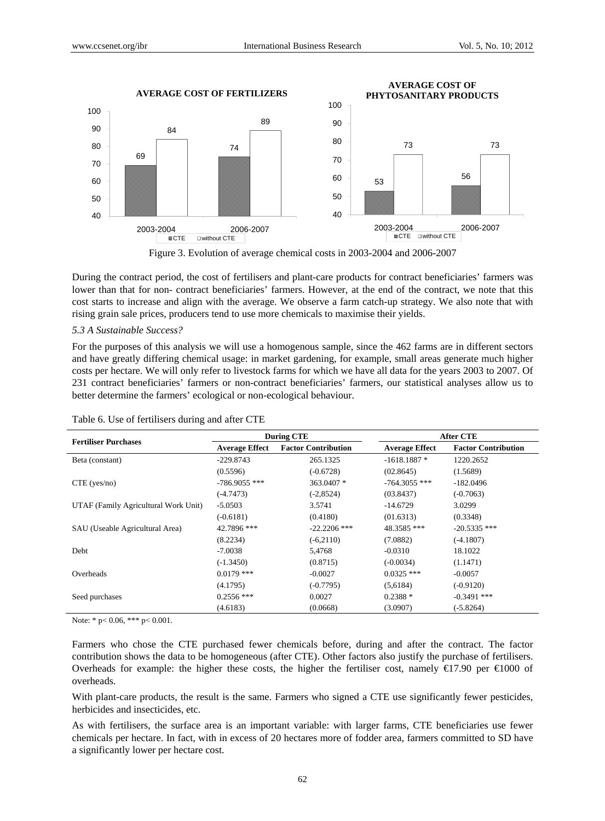

Figure 3. Evolution of average chemical costs in 2003-2004 and 2006-2007

During the contract period, the cost of fertilisers and plant-care products for contract beneficiaries' farmers was lower than that for non- contract beneficiaries' farmers. However, at the end of the contract, we note that this cost starts to increase and align with the average. We observe a farm catch-up strategy. We also note that with rising grain sale prices, producers tend to use more chemicals to maximise their yields.

#### *5.3 A Sustainable Success?*

For the purposes of this analysis we will use a homogenous sample, since the 462 farms are in different sectors and have greatly differing chemical usage: in market gardening, for example, small areas generate much higher costs per hectare. We will only refer to livestock farms for which we have all data for the years 2003 to 2007. Of 231 contract beneficiaries' farmers or non-contract beneficiaries' farmers, our statistical analyses allow us to better determine the farmers' ecological or non-ecological behaviour.

|                                      | <b>During CTE</b>     |                            | After CTE             |                            |
|--------------------------------------|-----------------------|----------------------------|-----------------------|----------------------------|
| <b>Fertiliser Purchases</b>          | <b>Average Effect</b> | <b>Factor Contribution</b> | <b>Average Effect</b> | <b>Factor Contribution</b> |
| Beta (constant)                      | $-229.8743$           | 265.1325                   | $-1618.1887*$         | 1220.2652                  |
|                                      | (0.5596)              | $(-0.6728)$                | (02.8645)             | (1.5689)                   |
| $CTE$ (yes/no)                       | $-786.9055$ ***       | 363.0407 *                 | $-764.3055$ ***       | $-182.0496$                |
|                                      | $(-4.7473)$           | $(-2, 8524)$               | (03.8437)             | $(-0.7063)$                |
| UTAF (Family Agricultural Work Unit) | $-5.0503$             | 3.5741                     | $-14.6729$            | 3.0299                     |
|                                      | $(-0.6181)$           | (0.4180)                   | (01.6313)             | (0.3348)                   |
| SAU (Useable Agricultural Area)      | 42.7896 ***           | $-22.2206$ ***             | 48.3585 ***           | $-20.5335$ ***             |
|                                      | (8.2234)              | $(-6,2110)$                | (7.0882)              | $(-4.1807)$                |
| Debt                                 | $-7.0038$             | 5,4768                     | $-0.0310$             | 18.1022                    |
|                                      | $(-1.3450)$           | (0.8715)                   | $(-0.0034)$           | (1.1471)                   |
| Overheads                            | $0.0179$ ***          | $-0.0027$                  | $0.0325$ ***          | $-0.0057$                  |
|                                      | (4.1795)              | $(-0.7795)$                | (5,6184)              | $(-0.9120)$                |
| Seed purchases                       | $0.2556$ ***          | 0.0027                     | $0.2388*$             | $-0.3491$ ***              |
|                                      | (4.6183)              | (0.0668)                   | (3.0907)              | $(-5.8264)$                |

Table 6. Use of fertilisers during and after CTE

Note: \* p< 0.06, \*\*\* p< 0.001.

Farmers who chose the CTE purchased fewer chemicals before, during and after the contract. The factor contribution shows the data to be homogeneous (after CTE). Other factors also justify the purchase of fertilisers. Overheads for example: the higher these costs, the higher the fertiliser cost, namely  $\epsilon$ 17.90 per  $\epsilon$ 1000 of overheads.

With plant-care products, the result is the same. Farmers who signed a CTE use significantly fewer pesticides, herbicides and insecticides, etc.

As with fertilisers, the surface area is an important variable: with larger farms, CTE beneficiaries use fewer chemicals per hectare. In fact, with in excess of 20 hectares more of fodder area, farmers committed to SD have a significantly lower per hectare cost.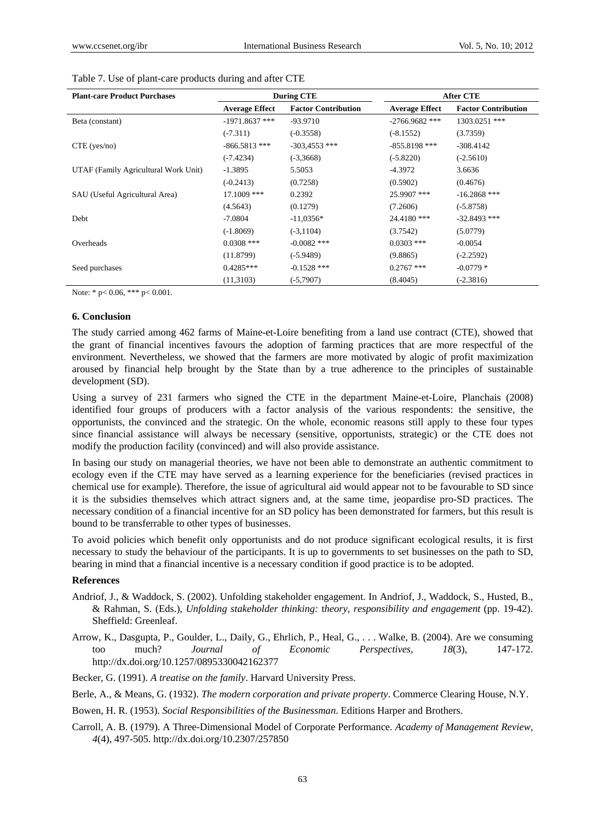| <b>Plant-care Product Purchases</b>  | <b>During CTE</b>     |                            | <b>After CTE</b>      |                            |
|--------------------------------------|-----------------------|----------------------------|-----------------------|----------------------------|
|                                      | <b>Average Effect</b> | <b>Factor Contribution</b> | <b>Average Effect</b> | <b>Factor Contribution</b> |
| Beta (constant)                      | $-1971.8637$ ***      | $-93.9710$                 | $-2766.9682$ ***      | 1303.0251 ***              |
|                                      | $(-7.311)$            | $(-0.3558)$                | $(-8.1552)$           | (3.7359)                   |
| $CTE$ (yes/no)                       | $-866.5813$ ***       | $-303,4553$ ***            | $-855.8198$ ***       | $-308.4142$                |
|                                      | $(-7.4234)$           | $(-3,3668)$                | $(-5.8220)$           | $(-2.5610)$                |
| UTAF (Family Agricultural Work Unit) | $-1.3895$             | 5.5053                     | $-4.3972$             | 3.6636                     |
|                                      | $(-0.2413)$           | (0.7258)                   | (0.5902)              | (0.4676)                   |
| SAU (Useful Agricultural Area)       | $17.1009$ ***         | 0.2392                     | 25.9907 ***           | $-16.2868$ ***             |
|                                      | (4.5643)              | (0.1279)                   | (7.2606)              | $(-5.8758)$                |
| Debt                                 | $-7.0804$             | $-11,0356*$                | 24.4180 ***           | $-32.8493$ ***             |
|                                      | $(-1.8069)$           | $(-3, 1104)$               | (3.7542)              | (5.0779)                   |
| Overheads                            | $0.0308$ ***          | $-0.0082$ ***              | $0.0303$ ***          | $-0.0054$                  |
|                                      | (11.8799)             | $(-5.9489)$                | (9.8865)              | $(-2.2592)$                |
| Seed purchases                       | $0.4285***$           | $-0.1528$ ***              | $0.2767$ ***          | $-0.0779*$                 |
|                                      | (11,3103)             | $(-5,7907)$                | (8.4045)              | $(-2.3816)$                |

|  | Table 7. Use of plant-care products during and after CTE |  |  |  |  |  |
|--|----------------------------------------------------------|--|--|--|--|--|
|--|----------------------------------------------------------|--|--|--|--|--|

Note: \* p< 0.06, \*\*\* p< 0.001.

#### **6. Conclusion**

The study carried among 462 farms of Maine-et-Loire benefiting from a land use contract (CTE), showed that the grant of financial incentives favours the adoption of farming practices that are more respectful of the environment. Nevertheless, we showed that the farmers are more motivated by alogic of profit maximization aroused by financial help brought by the State than by a true adherence to the principles of sustainable development (SD).

Using a survey of 231 farmers who signed the CTE in the department Maine-et-Loire, Planchais (2008) identified four groups of producers with a factor analysis of the various respondents: the sensitive, the opportunists, the convinced and the strategic. On the whole, economic reasons still apply to these four types since financial assistance will always be necessary (sensitive, opportunists, strategic) or the CTE does not modify the production facility (convinced) and will also provide assistance.

In basing our study on managerial theories, we have not been able to demonstrate an authentic commitment to ecology even if the CTE may have served as a learning experience for the beneficiaries (revised practices in chemical use for example). Therefore, the issue of agricultural aid would appear not to be favourable to SD since it is the subsidies themselves which attract signers and, at the same time, jeopardise pro-SD practices. The necessary condition of a financial incentive for an SD policy has been demonstrated for farmers, but this result is bound to be transferrable to other types of businesses.

To avoid policies which benefit only opportunists and do not produce significant ecological results, it is first necessary to study the behaviour of the participants. It is up to governments to set businesses on the path to SD, bearing in mind that a financial incentive is a necessary condition if good practice is to be adopted.

## **References**

- Andriof, J., & Waddock, S. (2002). Unfolding stakeholder engagement. In Andriof, J., Waddock, S., Husted, B., & Rahman, S. (Eds.), *Unfolding stakeholder thinking:* t*heory, responsibility and engagement* (pp. 19-42). Sheffield: Greenleaf.
- Arrow, K., Dasgupta, P., Goulder, L., Daily, G., Ehrlich, P., Heal, G., . . . Walke, B. (2004). Are we consuming too much? *Journal of Economic Perspectives, 18*(3), 147-172. http://dx.doi.org/10.1257/0895330042162377

Becker, G. (1991). *A treatise on the family*. Harvard University Press.

Berle, A., & Means, G. (1932). *The modern corporation and private property*. Commerce Clearing House, N.Y.

- Bowen, H. R. (1953). *Social Responsibilities of the Businessman*. Editions Harper and Brothers.
- Carroll, A. B. (1979). A Three-Dimensional Model of Corporate Performance. *Academy of Management Review, 4*(4), 497-505. http://dx.doi.org/10.2307/257850